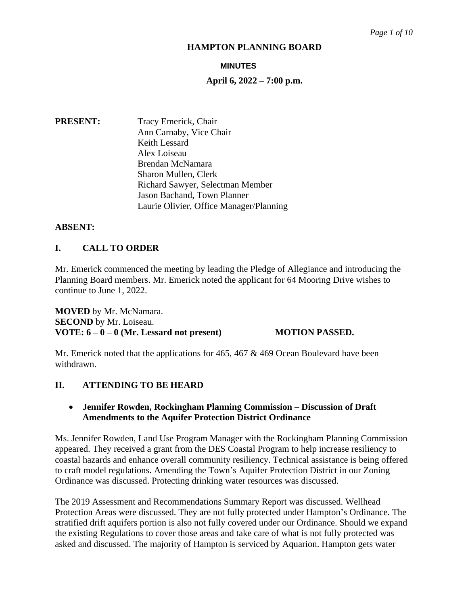#### **MINUTES**

### **April 6, 2022 – 7:00 p.m.**

**PRESENT:** Tracy Emerick, Chair Ann Carnaby, Vice Chair Keith Lessard Alex Loiseau Brendan McNamara Sharon Mullen, Clerk Richard Sawyer, Selectman Member Jason Bachand, Town Planner Laurie Olivier, Office Manager/Planning

# **ABSENT:**

# **I. CALL TO ORDER**

Mr. Emerick commenced the meeting by leading the Pledge of Allegiance and introducing the Planning Board members. Mr. Emerick noted the applicant for 64 Mooring Drive wishes to continue to June 1, 2022.

**MOVED** by Mr. McNamara. **SECOND** by Mr. Loiseau. **VOTE: 6 – 0 – 0 (Mr. Lessard not present) MOTION PASSED.**

Mr. Emerick noted that the applications for 465, 467 & 469 Ocean Boulevard have been withdrawn.

#### **II. ATTENDING TO BE HEARD**

# • **Jennifer Rowden, Rockingham Planning Commission – Discussion of Draft Amendments to the Aquifer Protection District Ordinance**

Ms. Jennifer Rowden, Land Use Program Manager with the Rockingham Planning Commission appeared. They received a grant from the DES Coastal Program to help increase resiliency to coastal hazards and enhance overall community resiliency. Technical assistance is being offered to craft model regulations. Amending the Town's Aquifer Protection District in our Zoning Ordinance was discussed. Protecting drinking water resources was discussed.

The 2019 Assessment and Recommendations Summary Report was discussed. Wellhead Protection Areas were discussed. They are not fully protected under Hampton's Ordinance. The stratified drift aquifers portion is also not fully covered under our Ordinance. Should we expand the existing Regulations to cover those areas and take care of what is not fully protected was asked and discussed. The majority of Hampton is serviced by Aquarion. Hampton gets water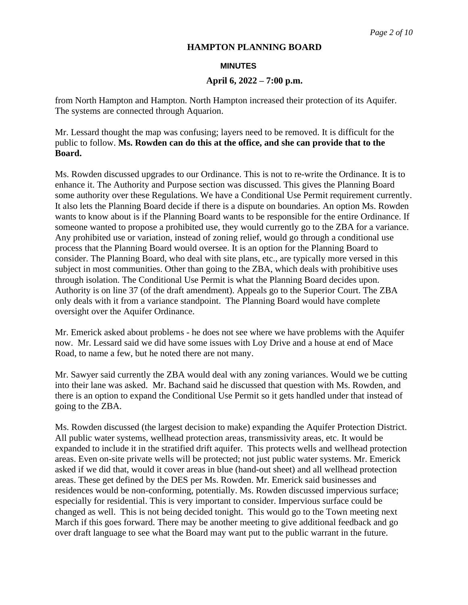#### **MINUTES**

#### **April 6, 2022 – 7:00 p.m.**

from North Hampton and Hampton. North Hampton increased their protection of its Aquifer. The systems are connected through Aquarion.

Mr. Lessard thought the map was confusing; layers need to be removed. It is difficult for the public to follow. **Ms. Rowden can do this at the office, and she can provide that to the Board.**

Ms. Rowden discussed upgrades to our Ordinance. This is not to re-write the Ordinance. It is to enhance it. The Authority and Purpose section was discussed. This gives the Planning Board some authority over these Regulations. We have a Conditional Use Permit requirement currently. It also lets the Planning Board decide if there is a dispute on boundaries. An option Ms. Rowden wants to know about is if the Planning Board wants to be responsible for the entire Ordinance. If someone wanted to propose a prohibited use, they would currently go to the ZBA for a variance. Any prohibited use or variation, instead of zoning relief, would go through a conditional use process that the Planning Board would oversee. It is an option for the Planning Board to consider. The Planning Board, who deal with site plans, etc., are typically more versed in this subject in most communities. Other than going to the ZBA, which deals with prohibitive uses through isolation. The Conditional Use Permit is what the Planning Board decides upon. Authority is on line 37 (of the draft amendment). Appeals go to the Superior Court. The ZBA only deals with it from a variance standpoint. The Planning Board would have complete oversight over the Aquifer Ordinance.

Mr. Emerick asked about problems - he does not see where we have problems with the Aquifer now. Mr. Lessard said we did have some issues with Loy Drive and a house at end of Mace Road, to name a few, but he noted there are not many.

Mr. Sawyer said currently the ZBA would deal with any zoning variances. Would we be cutting into their lane was asked. Mr. Bachand said he discussed that question with Ms. Rowden, and there is an option to expand the Conditional Use Permit so it gets handled under that instead of going to the ZBA.

Ms. Rowden discussed (the largest decision to make) expanding the Aquifer Protection District. All public water systems, wellhead protection areas, transmissivity areas, etc. It would be expanded to include it in the stratified drift aquifer. This protects wells and wellhead protection areas. Even on-site private wells will be protected; not just public water systems. Mr. Emerick asked if we did that, would it cover areas in blue (hand-out sheet) and all wellhead protection areas. These get defined by the DES per Ms. Rowden. Mr. Emerick said businesses and residences would be non-conforming, potentially. Ms. Rowden discussed impervious surface; especially for residential. This is very important to consider. Impervious surface could be changed as well. This is not being decided tonight. This would go to the Town meeting next March if this goes forward. There may be another meeting to give additional feedback and go over draft language to see what the Board may want put to the public warrant in the future.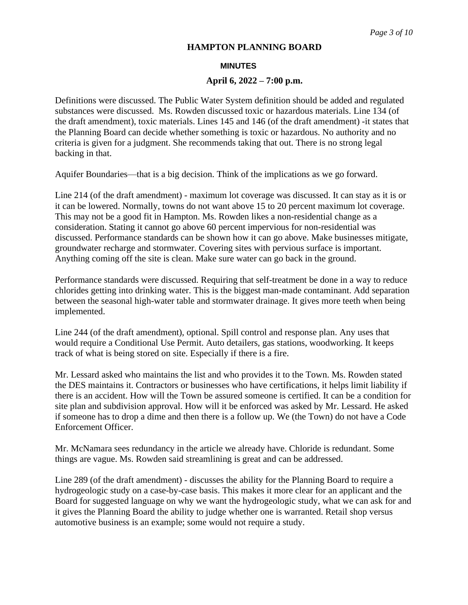#### **MINUTES**

#### **April 6, 2022 – 7:00 p.m.**

Definitions were discussed. The Public Water System definition should be added and regulated substances were discussed. Ms. Rowden discussed toxic or hazardous materials. Line 134 (of the draft amendment), toxic materials. Lines 145 and 146 (of the draft amendment) -it states that the Planning Board can decide whether something is toxic or hazardous. No authority and no criteria is given for a judgment. She recommends taking that out. There is no strong legal backing in that.

Aquifer Boundaries—that is a big decision. Think of the implications as we go forward.

Line 214 (of the draft amendment) - maximum lot coverage was discussed. It can stay as it is or it can be lowered. Normally, towns do not want above 15 to 20 percent maximum lot coverage. This may not be a good fit in Hampton. Ms. Rowden likes a non-residential change as a consideration. Stating it cannot go above 60 percent impervious for non-residential was discussed. Performance standards can be shown how it can go above. Make businesses mitigate, groundwater recharge and stormwater. Covering sites with pervious surface is important. Anything coming off the site is clean. Make sure water can go back in the ground.

Performance standards were discussed. Requiring that self-treatment be done in a way to reduce chlorides getting into drinking water. This is the biggest man-made contaminant. Add separation between the seasonal high-water table and stormwater drainage. It gives more teeth when being implemented.

Line 244 (of the draft amendment), optional. Spill control and response plan. Any uses that would require a Conditional Use Permit. Auto detailers, gas stations, woodworking. It keeps track of what is being stored on site. Especially if there is a fire.

Mr. Lessard asked who maintains the list and who provides it to the Town. Ms. Rowden stated the DES maintains it. Contractors or businesses who have certifications, it helps limit liability if there is an accident. How will the Town be assured someone is certified. It can be a condition for site plan and subdivision approval. How will it be enforced was asked by Mr. Lessard. He asked if someone has to drop a dime and then there is a follow up. We (the Town) do not have a Code Enforcement Officer.

Mr. McNamara sees redundancy in the article we already have. Chloride is redundant. Some things are vague. Ms. Rowden said streamlining is great and can be addressed.

Line 289 (of the draft amendment) - discusses the ability for the Planning Board to require a hydrogeologic study on a case-by-case basis. This makes it more clear for an applicant and the Board for suggested language on why we want the hydrogeologic study, what we can ask for and it gives the Planning Board the ability to judge whether one is warranted. Retail shop versus automotive business is an example; some would not require a study.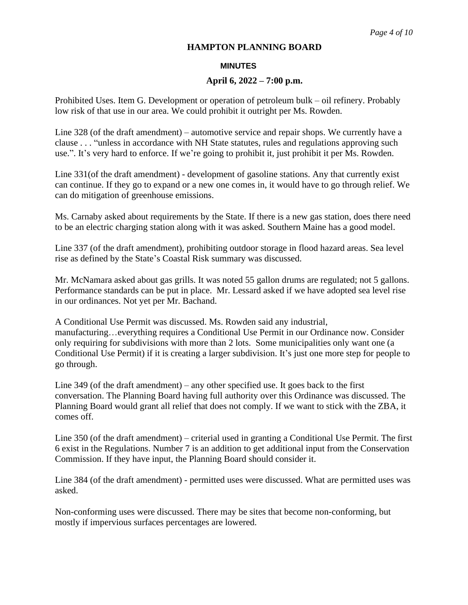#### **MINUTES**

#### **April 6, 2022 – 7:00 p.m.**

Prohibited Uses. Item G. Development or operation of petroleum bulk – oil refinery. Probably low risk of that use in our area. We could prohibit it outright per Ms. Rowden.

Line 328 (of the draft amendment) – automotive service and repair shops. We currently have a clause . . . "unless in accordance with NH State statutes, rules and regulations approving such use.". It's very hard to enforce. If we're going to prohibit it, just prohibit it per Ms. Rowden.

Line 331(of the draft amendment) - development of gasoline stations. Any that currently exist can continue. If they go to expand or a new one comes in, it would have to go through relief. We can do mitigation of greenhouse emissions.

Ms. Carnaby asked about requirements by the State. If there is a new gas station, does there need to be an electric charging station along with it was asked. Southern Maine has a good model.

Line 337 (of the draft amendment), prohibiting outdoor storage in flood hazard areas. Sea level rise as defined by the State's Coastal Risk summary was discussed.

Mr. McNamara asked about gas grills. It was noted 55 gallon drums are regulated; not 5 gallons. Performance standards can be put in place. Mr. Lessard asked if we have adopted sea level rise in our ordinances. Not yet per Mr. Bachand.

A Conditional Use Permit was discussed. Ms. Rowden said any industrial, manufacturing…everything requires a Conditional Use Permit in our Ordinance now. Consider only requiring for subdivisions with more than 2 lots. Some municipalities only want one (a Conditional Use Permit) if it is creating a larger subdivision. It's just one more step for people to go through.

Line 349 (of the draft amendment) – any other specified use. It goes back to the first conversation. The Planning Board having full authority over this Ordinance was discussed. The Planning Board would grant all relief that does not comply. If we want to stick with the ZBA, it comes off.

Line 350 (of the draft amendment) – criterial used in granting a Conditional Use Permit. The first 6 exist in the Regulations. Number 7 is an addition to get additional input from the Conservation Commission. If they have input, the Planning Board should consider it.

Line 384 (of the draft amendment) - permitted uses were discussed. What are permitted uses was asked.

Non-conforming uses were discussed. There may be sites that become non-conforming, but mostly if impervious surfaces percentages are lowered.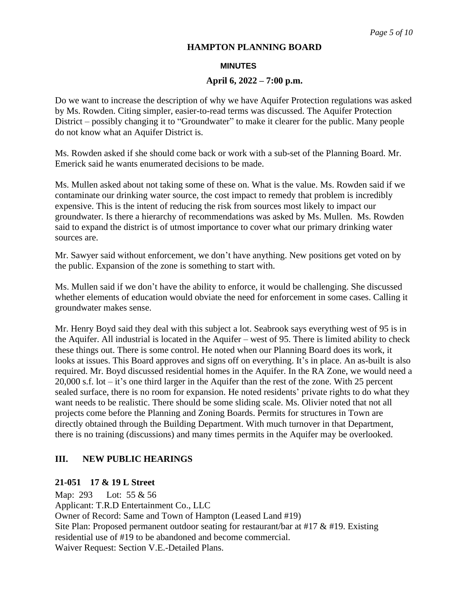#### **MINUTES**

#### **April 6, 2022 – 7:00 p.m.**

Do we want to increase the description of why we have Aquifer Protection regulations was asked by Ms. Rowden. Citing simpler, easier-to-read terms was discussed. The Aquifer Protection District – possibly changing it to "Groundwater" to make it clearer for the public. Many people do not know what an Aquifer District is.

Ms. Rowden asked if she should come back or work with a sub-set of the Planning Board. Mr. Emerick said he wants enumerated decisions to be made.

Ms. Mullen asked about not taking some of these on. What is the value. Ms. Rowden said if we contaminate our drinking water source, the cost impact to remedy that problem is incredibly expensive. This is the intent of reducing the risk from sources most likely to impact our groundwater. Is there a hierarchy of recommendations was asked by Ms. Mullen. Ms. Rowden said to expand the district is of utmost importance to cover what our primary drinking water sources are.

Mr. Sawyer said without enforcement, we don't have anything. New positions get voted on by the public. Expansion of the zone is something to start with.

Ms. Mullen said if we don't have the ability to enforce, it would be challenging. She discussed whether elements of education would obviate the need for enforcement in some cases. Calling it groundwater makes sense.

Mr. Henry Boyd said they deal with this subject a lot. Seabrook says everything west of 95 is in the Aquifer. All industrial is located in the Aquifer – west of 95. There is limited ability to check these things out. There is some control. He noted when our Planning Board does its work, it looks at issues. This Board approves and signs off on everything. It's in place. An as-built is also required. Mr. Boyd discussed residential homes in the Aquifer. In the RA Zone, we would need a 20,000 s.f. lot – it's one third larger in the Aquifer than the rest of the zone. With 25 percent sealed surface, there is no room for expansion. He noted residents' private rights to do what they want needs to be realistic. There should be some sliding scale. Ms. Olivier noted that not all projects come before the Planning and Zoning Boards. Permits for structures in Town are directly obtained through the Building Department. With much turnover in that Department, there is no training (discussions) and many times permits in the Aquifer may be overlooked.

# **III. NEW PUBLIC HEARINGS**

#### **21-051 17 & 19 L Street**

Map: 293 Lot: 55 & 56 Applicant: T.R.D Entertainment Co., LLC Owner of Record: Same and Town of Hampton (Leased Land #19) Site Plan: Proposed permanent outdoor seating for restaurant/bar at #17 & #19. Existing residential use of #19 to be abandoned and become commercial. Waiver Request: Section V.E.-Detailed Plans.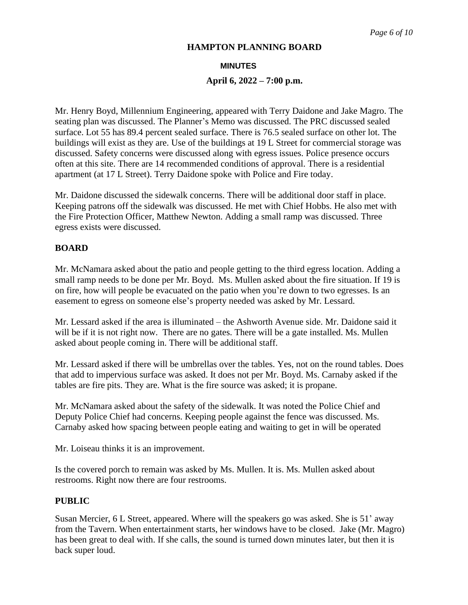#### **MINUTES**

#### **April 6, 2022 – 7:00 p.m.**

Mr. Henry Boyd, Millennium Engineering, appeared with Terry Daidone and Jake Magro. The seating plan was discussed. The Planner's Memo was discussed. The PRC discussed sealed surface. Lot 55 has 89.4 percent sealed surface. There is 76.5 sealed surface on other lot. The buildings will exist as they are. Use of the buildings at 19 L Street for commercial storage was discussed. Safety concerns were discussed along with egress issues. Police presence occurs often at this site. There are 14 recommended conditions of approval. There is a residential apartment (at 17 L Street). Terry Daidone spoke with Police and Fire today.

Mr. Daidone discussed the sidewalk concerns. There will be additional door staff in place. Keeping patrons off the sidewalk was discussed. He met with Chief Hobbs. He also met with the Fire Protection Officer, Matthew Newton. Adding a small ramp was discussed. Three egress exists were discussed.

## **BOARD**

Mr. McNamara asked about the patio and people getting to the third egress location. Adding a small ramp needs to be done per Mr. Boyd. Ms. Mullen asked about the fire situation. If 19 is on fire, how will people be evacuated on the patio when you're down to two egresses. Is an easement to egress on someone else's property needed was asked by Mr. Lessard.

Mr. Lessard asked if the area is illuminated – the Ashworth Avenue side. Mr. Daidone said it will be if it is not right now. There are no gates. There will be a gate installed. Ms. Mullen asked about people coming in. There will be additional staff.

Mr. Lessard asked if there will be umbrellas over the tables. Yes, not on the round tables. Does that add to impervious surface was asked. It does not per Mr. Boyd. Ms. Carnaby asked if the tables are fire pits. They are. What is the fire source was asked; it is propane.

Mr. McNamara asked about the safety of the sidewalk. It was noted the Police Chief and Deputy Police Chief had concerns. Keeping people against the fence was discussed. Ms. Carnaby asked how spacing between people eating and waiting to get in will be operated

Mr. Loiseau thinks it is an improvement.

Is the covered porch to remain was asked by Ms. Mullen. It is. Ms. Mullen asked about restrooms. Right now there are four restrooms.

#### **PUBLIC**

Susan Mercier, 6 L Street, appeared. Where will the speakers go was asked. She is 51' away from the Tavern. When entertainment starts, her windows have to be closed. Jake (Mr. Magro) has been great to deal with. If she calls, the sound is turned down minutes later, but then it is back super loud.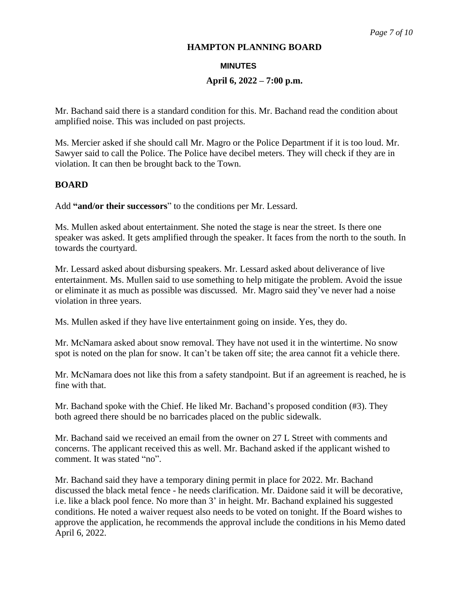#### **MINUTES**

### **April 6, 2022 – 7:00 p.m.**

Mr. Bachand said there is a standard condition for this. Mr. Bachand read the condition about amplified noise. This was included on past projects.

Ms. Mercier asked if she should call Mr. Magro or the Police Department if it is too loud. Mr. Sawyer said to call the Police. The Police have decibel meters. They will check if they are in violation. It can then be brought back to the Town.

# **BOARD**

Add **"and/or their successors**" to the conditions per Mr. Lessard.

Ms. Mullen asked about entertainment. She noted the stage is near the street. Is there one speaker was asked. It gets amplified through the speaker. It faces from the north to the south. In towards the courtyard.

Mr. Lessard asked about disbursing speakers. Mr. Lessard asked about deliverance of live entertainment. Ms. Mullen said to use something to help mitigate the problem. Avoid the issue or eliminate it as much as possible was discussed. Mr. Magro said they've never had a noise violation in three years.

Ms. Mullen asked if they have live entertainment going on inside. Yes, they do.

Mr. McNamara asked about snow removal. They have not used it in the wintertime. No snow spot is noted on the plan for snow. It can't be taken off site; the area cannot fit a vehicle there.

Mr. McNamara does not like this from a safety standpoint. But if an agreement is reached, he is fine with that.

Mr. Bachand spoke with the Chief. He liked Mr. Bachand's proposed condition (#3). They both agreed there should be no barricades placed on the public sidewalk.

Mr. Bachand said we received an email from the owner on 27 L Street with comments and concerns. The applicant received this as well. Mr. Bachand asked if the applicant wished to comment. It was stated "no".

Mr. Bachand said they have a temporary dining permit in place for 2022. Mr. Bachand discussed the black metal fence - he needs clarification. Mr. Daidone said it will be decorative, i.e. like a black pool fence. No more than 3' in height. Mr. Bachand explained his suggested conditions. He noted a waiver request also needs to be voted on tonight. If the Board wishes to approve the application, he recommends the approval include the conditions in his Memo dated April 6, 2022.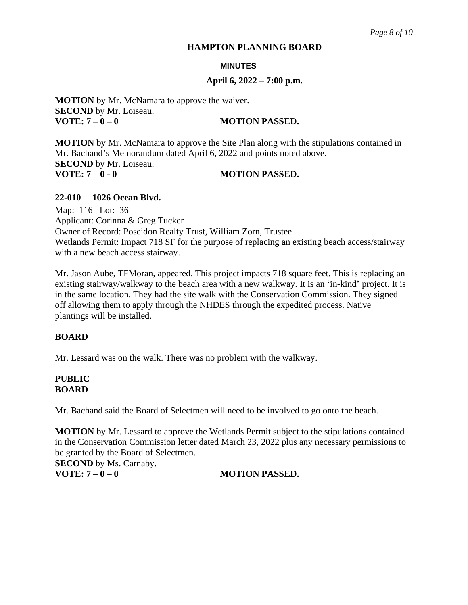#### **MINUTES**

#### **April 6, 2022 – 7:00 p.m.**

**MOTION** by Mr. McNamara to approve the waiver. **SECOND** by Mr. Loiseau. **VOTE:**  $7-0-0$  **MOTION PASSED.** 

**MOTION** by Mr. McNamara to approve the Site Plan along with the stipulations contained in Mr. Bachand's Memorandum dated April 6, 2022 and points noted above. **SECOND** by Mr. Loiseau. **VOTE: 7 – 0 - 0 MOTION PASSED.**

**22-010 1026 Ocean Blvd.** 

Map: 116 Lot: 36 Applicant: Corinna & Greg Tucker Owner of Record: Poseidon Realty Trust, William Zorn, Trustee Wetlands Permit: Impact 718 SF for the purpose of replacing an existing beach access/stairway with a new beach access stairway.

Mr. Jason Aube, TFMoran, appeared. This project impacts 718 square feet. This is replacing an existing stairway/walkway to the beach area with a new walkway. It is an 'in-kind' project. It is in the same location. They had the site walk with the Conservation Commission. They signed off allowing them to apply through the NHDES through the expedited process. Native plantings will be installed.

#### **BOARD**

Mr. Lessard was on the walk. There was no problem with the walkway.

# **PUBLIC BOARD**

Mr. Bachand said the Board of Selectmen will need to be involved to go onto the beach.

**MOTION** by Mr. Lessard to approve the Wetlands Permit subject to the stipulations contained in the Conservation Commission letter dated March 23, 2022 plus any necessary permissions to be granted by the Board of Selectmen.

**SECOND** by Ms. Carnaby. **VOTE:**  $7-0-0$  **MOTION PASSED.**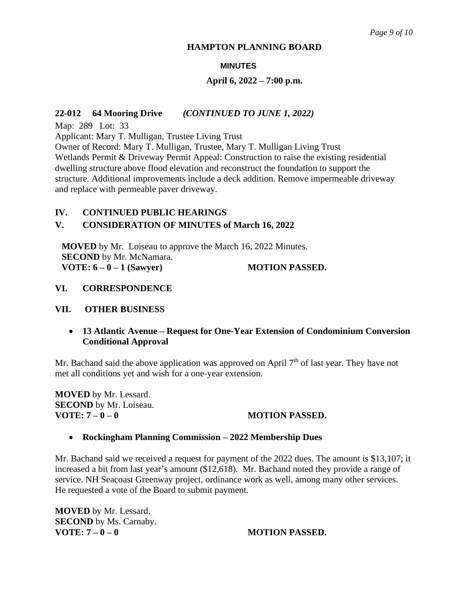#### **MINUTES**

# **April 6, 2022 – 7:00 p.m.**

### **22-012 64 Mooring Drive** *(CONTINUED TO JUNE 1, 2022)*

Map: 289 Lot: 33

Applicant: Mary T. Mulligan, Trustee Living Trust

Owner of Record: Mary T. Mulligan, Trustee, Mary T. Mulligan Living Trust Wetlands Permit & Driveway Permit Appeal: Construction to raise the existing residential dwelling structure above flood elevation and reconstruct the foundation to support the structure. Additional improvements include a deck addition. Remove impermeable driveway and replace with permeable paver driveway.

# **IV. CONTINUED PUBLIC HEARINGS**

# **V. CONSIDERATION OF MINUTES of March 16, 2022**

**MOVED** by Mr. Loiseau to approve the March 16, 2022 Minutes. **SECOND** by Mr. McNamara. **VOTE: 6 – 0 – 1 (Sawyer)** MOTION PASSED.

# **VI. CORRESPONDENCE**

#### **VII. OTHER BUSINESS**

# • **13 Atlantic Avenue – Request for One-Year Extension of Condominium Conversion Conditional Approval**

Mr. Bachand said the above application was approved on April  $7<sup>th</sup>$  of last year. They have not met all conditions yet and wish for a one-year extension.

**MOVED** by Mr. Lessard. **SECOND** by Mr. Loiseau. **VOTE:**  $7-0-0$  **MOTION PASSED.** 

# • **Rockingham Planning Commission – 2022 Membership Dues**

Mr. Bachand said we received a request for payment of the 2022 dues. The amount is \$13,107; it increased a bit from last year's amount (\$12,618). Mr. Bachand noted they provide a range of service. NH Seacoast Greenway project, ordinance work as well, among many other services. He requested a vote of the Board to submit payment.

**MOVED** by Mr. Lessard. **SECOND** by Ms. Carnaby. **VOTE:**  $7 - 0 - 0$  **MOTION PASSED.**